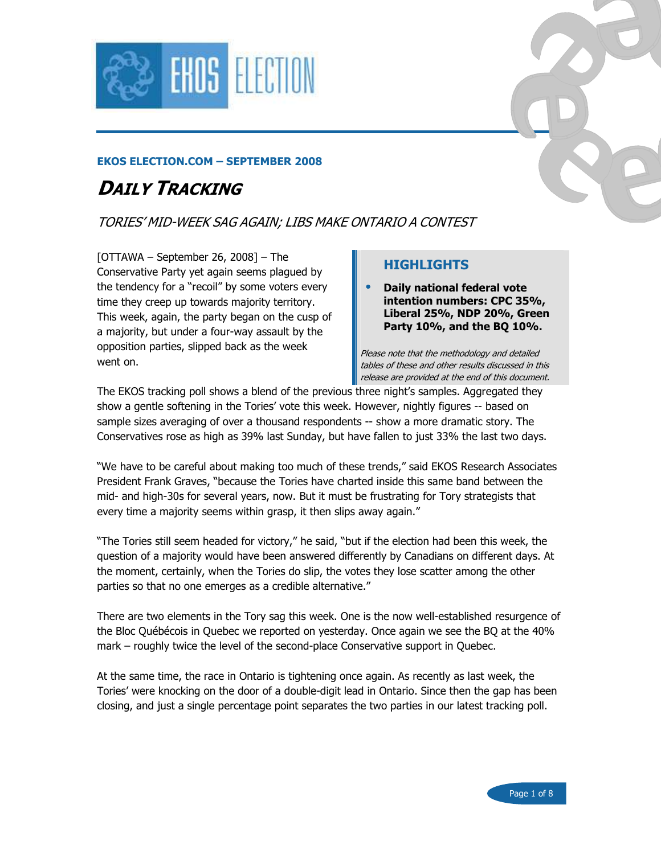

### EKOS ELECTION.COM – SEPTEMBER 2008

# DAILY TRACKING

TORIES' MID-WEEK SAG AGAIN; LIBS MAKE ONTARIO A CONTEST

 $[OTTAWA - September 26, 2008] - The$ Conservative Party yet again seems plagued by the tendency for a "recoil" by some voters every time they creep up towards majority territory. This week, again, the party began on the cusp of a majority, but under a four-way assault by the opposition parties, slipped back as the week went on.

### HIGHLIGHTS

• Daily national federal vote intention numbers: CPC 35%, Liberal 25%, NDP 20%, Green Party 10%, and the BQ 10%.

Please note that the methodology and detailed tables of these and other results discussed in this release are provided at the end of this document.

The EKOS tracking poll shows a blend of the previous three night's samples. Aggregated they show a gentle softening in the Tories' vote this week. However, nightly figures -- based on sample sizes averaging of over a thousand respondents -- show a more dramatic story. The Conservatives rose as high as 39% last Sunday, but have fallen to just 33% the last two days.

"We have to be careful about making too much of these trends," said EKOS Research Associates President Frank Graves, "because the Tories have charted inside this same band between the mid- and high-30s for several years, now. But it must be frustrating for Tory strategists that every time a majority seems within grasp, it then slips away again."

"The Tories still seem headed for victory," he said, "but if the election had been this week, the question of a majority would have been answered differently by Canadians on different days. At the moment, certainly, when the Tories do slip, the votes they lose scatter among the other parties so that no one emerges as a credible alternative."

There are two elements in the Tory sag this week. One is the now well-established resurgence of the Bloc Québécois in Quebec we reported on yesterday. Once again we see the BQ at the 40% mark – roughly twice the level of the second-place Conservative support in Quebec.

At the same time, the race in Ontario is tightening once again. As recently as last week, the Tories' were knocking on the door of a double-digit lead in Ontario. Since then the gap has been closing, and just a single percentage point separates the two parties in our latest tracking poll.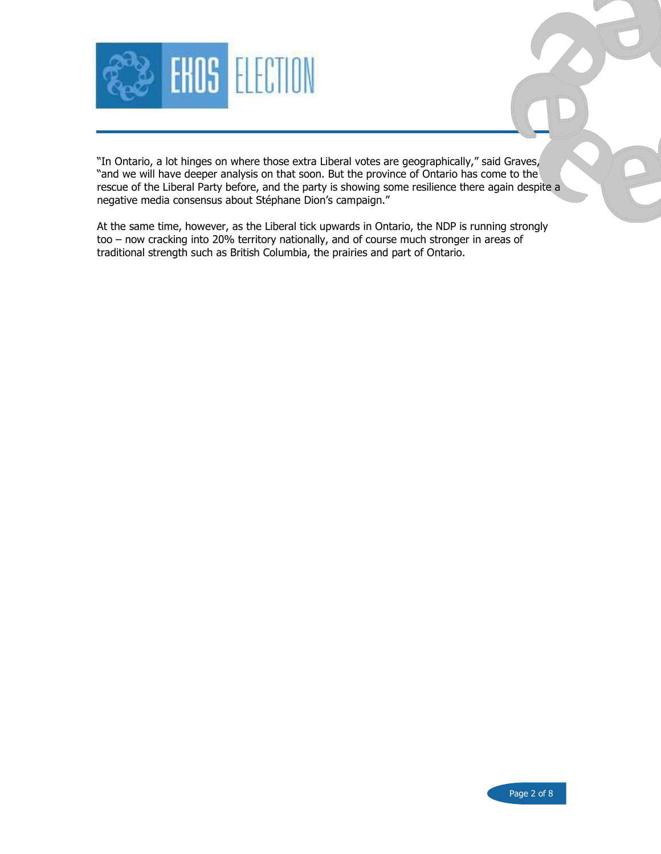

"In Ontario, a lot hinges on where those extra Liberal votes are geographically," said Graves, "and we will have deeper analysis on that soon. But the province of Ontario has come to the rescue of the Liberal Party before, and the party is showing some resilience there again despite a negative media consensus about Stéphane Dion's campaign."

At the same time, however, as the Liberal tick upwards in Ontario, the NDP is running strongly too – now cracking into 20% territory nationally, and of course much stronger in areas of traditional strength such as British Columbia, the prairies and part of Ontario.

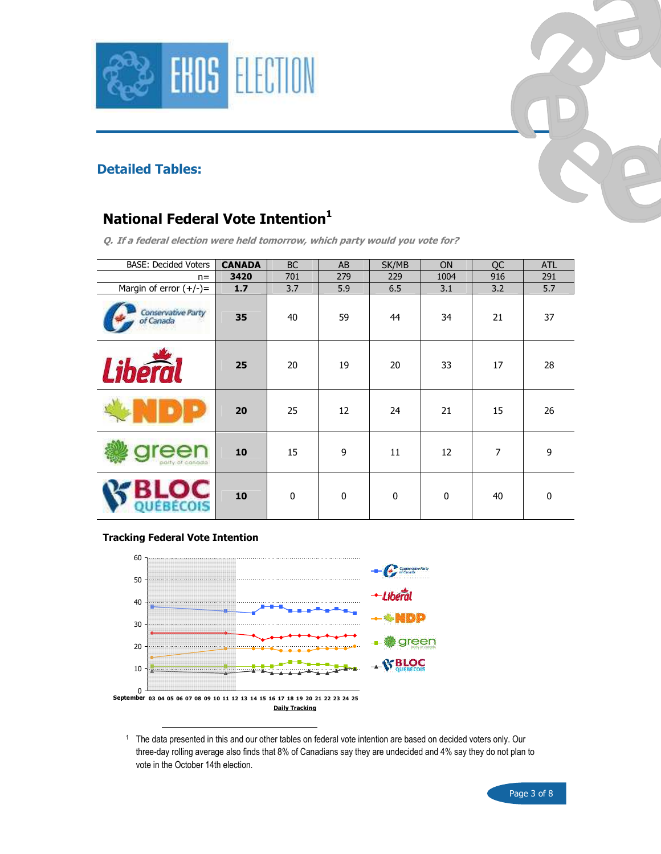



### Detailed Tables:

# National Federal Vote Intention<sup>1</sup>

Q. If a federal election were held tomorrow, which party would you vote for?

| <b>BASE: Decided Voters</b>     | <b>CANADA</b> | <b>BC</b>   | AB          | SK/MB       | <b>ON</b>   | QC             | <b>ATL</b>   |
|---------------------------------|---------------|-------------|-------------|-------------|-------------|----------------|--------------|
| $n =$                           | 3420          | 701         | 279         | 229         | 1004        | 916            | 291          |
| Margin of error $(+/-)$ =       | 1.7           | 3.7         | 5.9         | 6.5         | 3.1         | 3.2            | 5.7          |
| Conservative Party<br>of Canada | 35            | 40          | 59          | 44          | 34          | 21             | 37           |
| <b>Liberal</b>                  | 25            | 20          | 19          | 20          | 33          | 17             | 28           |
|                                 | 20            | 25          | 12          | 24          | 21          | 15             | 26           |
| polity of conosta               | 10            | 15          | 9           | 11          | 12          | $\overline{7}$ | 9            |
|                                 | 10            | $\mathbf 0$ | $\mathbf 0$ | $\mathbf 0$ | $\mathbf 0$ | 40             | $\mathbf{0}$ |

#### Tracking Federal Vote Intention



1 The data presented in this and our other tables on federal vote intention are based on decided voters only. Our three-day rolling average also finds that 8% of Canadians say they are undecided and 4% say they do not plan to vote in the October 14th election.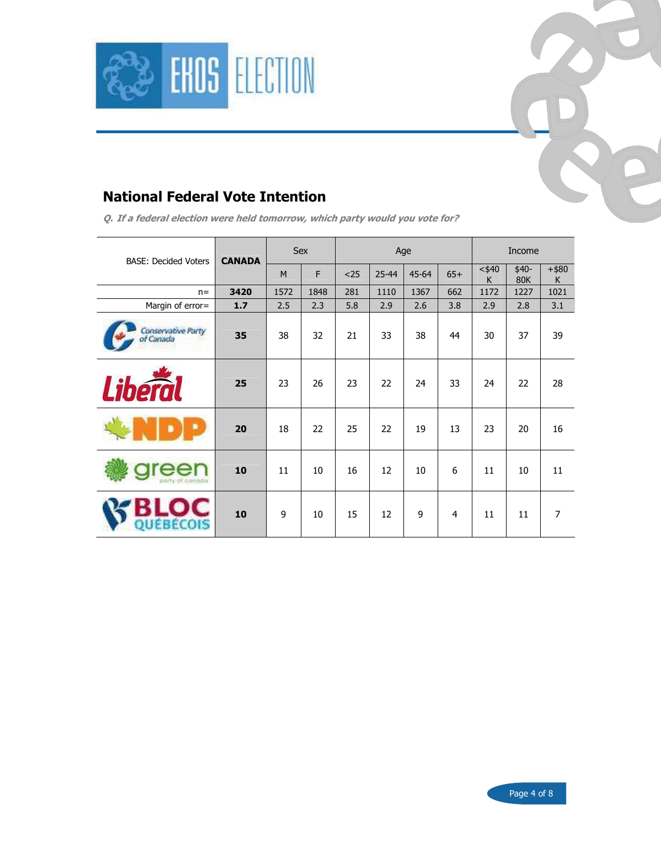



Q. If a federal election were held tomorrow, which party would you vote for?

| <b>BASE: Decided Voters</b>     | <b>CANADA</b> | Sex  |      | Age  |           |           |       | Income        |                      |               |
|---------------------------------|---------------|------|------|------|-----------|-----------|-------|---------------|----------------------|---------------|
|                                 |               | M    | F    | $25$ | $25 - 44$ | $45 - 64$ | $65+$ | $<$ \$40<br>K | $$40-$<br><b>80K</b> | $+$ \$80<br>K |
| $n =$                           | 3420          | 1572 | 1848 | 281  | 1110      | 1367      | 662   | 1172          | 1227                 | 1021          |
| Margin of error=                | 1.7           | 2.5  | 2.3  | 5.8  | 2.9       | 2.6       | 3.8   | 2.9           | 2.8                  | 3.1           |
| Conservative Party<br>of Canada | 35            | 38   | 32   | 21   | 33        | 38        | 44    | 30            | 37                   | 39            |
| <b>Liberal</b>                  | 25            | 23   | 26   | 23   | 22        | 24        | 33    | 24            | 22                   | 28            |
|                                 | 20            | 18   | 22   | 25   | 22        | 19        | 13    | 23            | 20                   | 16            |
| nditty of conditto              | 10            | 11   | 10   | 16   | 12        | 10        | 6     | 11            | 10                   | 11            |
| 28ECOIS                         | 10            | 9    | 10   | 15   | 12        | 9         | 4     | 11            | 11                   | 7             |

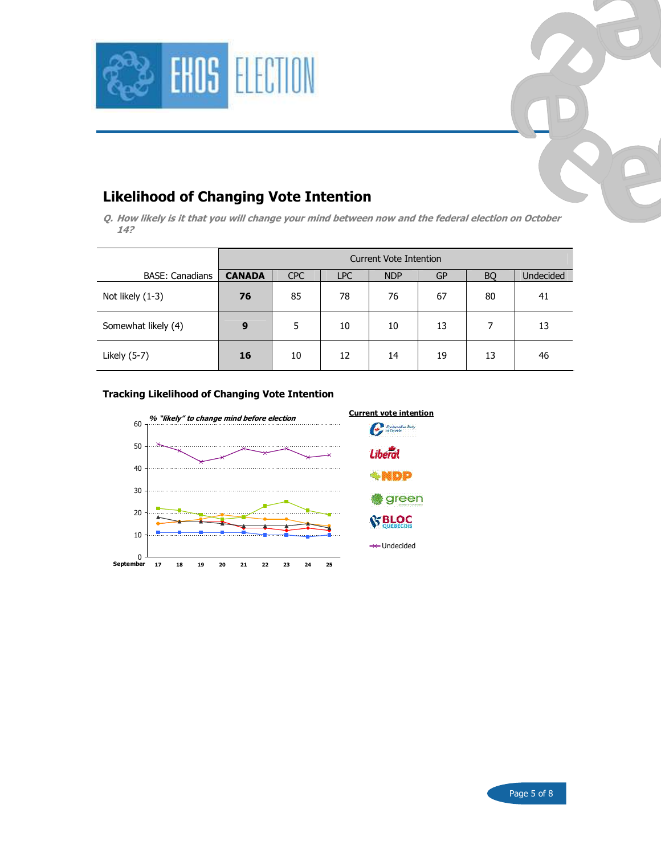

## Likelihood of Changing Vote Intention

Q. How likely is it that you will change your mind between now and the federal election on October 14?

|                        | Current Vote Intention |                                                                               |    |    |    |    |    |  |  |  |  |  |
|------------------------|------------------------|-------------------------------------------------------------------------------|----|----|----|----|----|--|--|--|--|--|
| <b>BASE: Canadians</b> | <b>CANADA</b>          | Undecided<br><b>CPC</b><br><b>NDP</b><br><b>LPC</b><br><b>GP</b><br><b>BQ</b> |    |    |    |    |    |  |  |  |  |  |
| Not likely (1-3)       | 76                     | 85                                                                            | 78 | 76 | 67 | 80 | 41 |  |  |  |  |  |
| Somewhat likely (4)    | 9                      | 5                                                                             | 10 | 10 | 13 | 7  | 13 |  |  |  |  |  |
| Likely (5-7)           | 16                     | 10                                                                            | 12 | 14 | 19 | 13 | 46 |  |  |  |  |  |

#### Tracking Likelihood of Changing Vote Intention





Undecided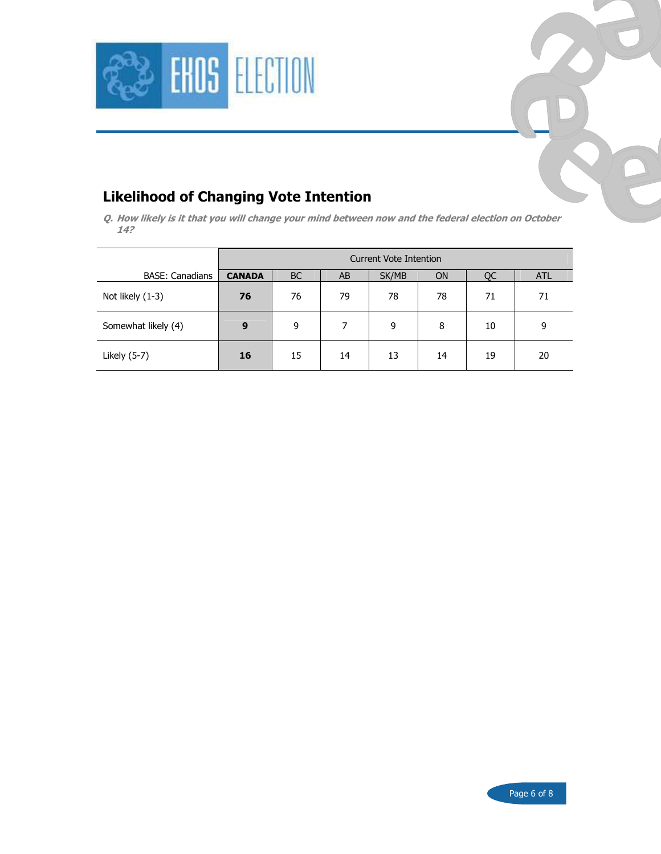



Q. How likely is it that you will change your mind between now and the federal election on October 14?

|                        | Current Vote Intention |                                                           |    |    |    |    |    |  |  |  |  |  |
|------------------------|------------------------|-----------------------------------------------------------|----|----|----|----|----|--|--|--|--|--|
| <b>BASE: Canadians</b> | <b>CANADA</b>          | <b>BC</b><br>SK/MB<br><b>ON</b><br>AB<br>QC<br><b>ATL</b> |    |    |    |    |    |  |  |  |  |  |
| Not likely (1-3)       | 76                     | 76                                                        | 79 | 78 | 78 | 71 | 71 |  |  |  |  |  |
| Somewhat likely (4)    | 9                      | 9                                                         |    | 9  | 8  | 10 | 9  |  |  |  |  |  |
| Likely (5-7)           | 16                     | 15                                                        | 14 | 13 | 14 | 19 | 20 |  |  |  |  |  |

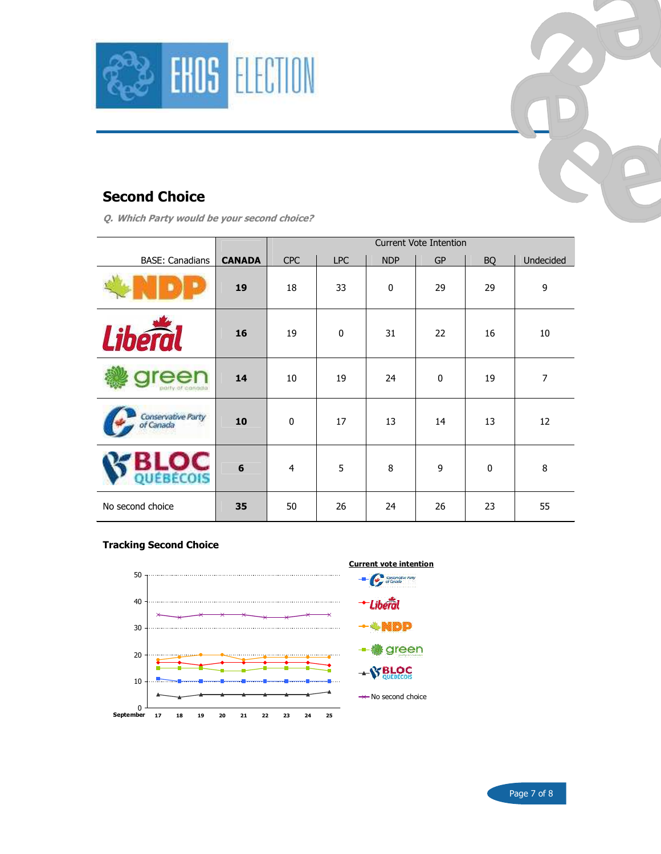

## Second Choice

Q. Which Party would be your second choice?

|                                 |                 | <b>Current Vote Intention</b> |            |             |           |           |                |  |  |  |
|---------------------------------|-----------------|-------------------------------|------------|-------------|-----------|-----------|----------------|--|--|--|
| <b>BASE: Canadians</b>          | <b>CANADA</b>   | <b>CPC</b>                    | <b>LPC</b> | <b>NDP</b>  | <b>GP</b> | <b>BQ</b> | Undecided      |  |  |  |
|                                 | 19              | 18                            | 33         | $\mathbf 0$ | 29        | 29        | 9              |  |  |  |
| Libéro                          | 16              | 19                            | $\bf{0}$   | 31          | 22        | 16        | 10             |  |  |  |
|                                 | 14              | 10                            | 19         | 24          | $\pmb{0}$ | 19        | $\overline{7}$ |  |  |  |
| Conservative Party<br>of Canada | 10              | $\pmb{0}$                     | 17         | 13          | 14        | 13        | 12             |  |  |  |
| ÉBÉCOIS                         | $6\phantom{1}6$ | $\overline{4}$                | 5          | 8           | 9         | $\bf{0}$  | $\bf 8$        |  |  |  |
| No second choice                | 35              | 50                            | 26         | 24          | 26        | 23        | 55             |  |  |  |

#### Tracking Second Choice



Page 7 of 8